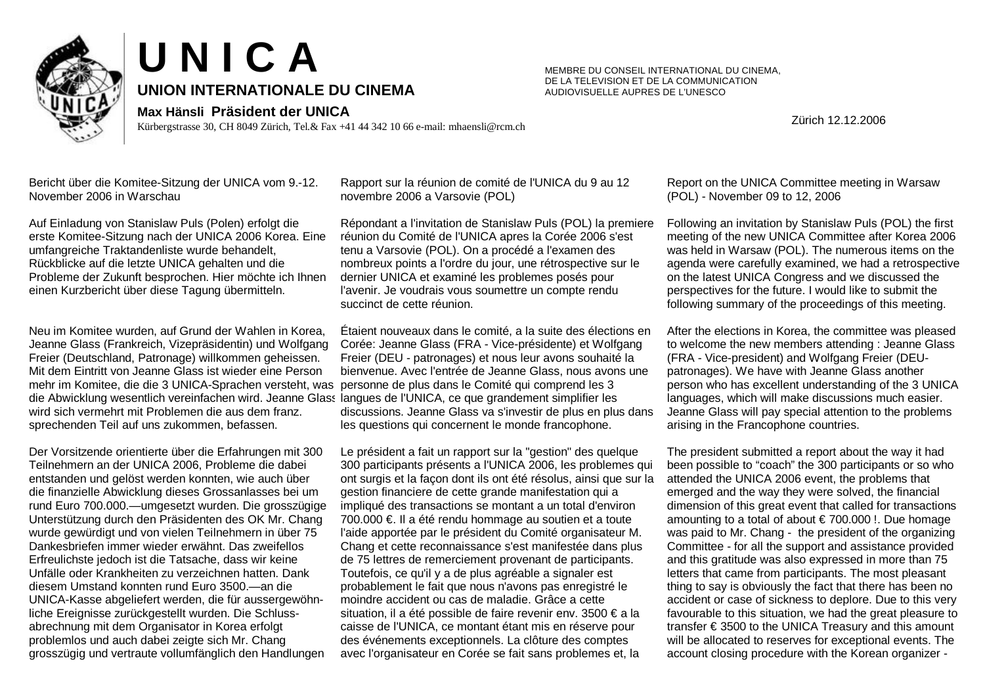



Kürbergstrasse 30, CH 8049 Zürich, Tel.& Fax +41 44 342 10 66 e-mail: mhaensli@rcm.ch

MEMBRE DU CONSEIL INTERNATIONAL DU CINEMA, DE LA TELEVISION ET DE LA COMMUNICATION AUDIOVISUELLE AUPRES DE L'UNESCO

Zürich 12.12.2006

Bericht über die Komitee-Sitzung der UNICA vom 9.-12. November 2006 in Warschau

Auf Einladung von Stanislaw Puls (Polen) erfolgt die erste Komitee-Sitzung nach der UNICA 2006 Korea. Eine umfangreiche Traktandenliste wurde behandelt, Rückblicke auf die letzte UNICA gehalten und die Probleme der Zukunft besprochen. Hier möchte ich Ihnen einen Kurzbericht über diese Tagung übermitteln.

Neu im Komitee wurden, auf Grund der Wahlen in Korea, Jeanne Glass (Frankreich, Vizepräsidentin) und Wolfgang Freier (Deutschland, Patronage) willkommen geheissen. Mit dem Eintritt von Jeanne Glass ist wieder eine Person mehr im Komitee, die die 3 UNICA-Sprachen versteht, was die Abwicklung wesentlich vereinfachen wird. Jeanne Glass langues de l'UNICA, ce que grandement simplifier les wird sich vermehrt mit Problemen die aus dem franz. sprechenden Teil auf uns zukommen, befassen.

Der Vorsitzende orientierte über die Erfahrungen mit 300 Teilnehmern an der UNICA 2006, Probleme die dabei entstanden und gelöst werden konnten, wie auch über die finanzielle Abwicklung dieses Grossanlasses bei um rund Euro 700.000.— umgesetzt wurden. Die grosszügige Unterstützung durch den Präsidenten des OK Mr. Chang wurde gewürdigt und von vielen Teilnehmern in über 75 Dankesbriefen immer wieder erwähnt. Das zweifellos Erfreulichste jedoch ist die Tatsache, dass wir keine Unfälle oder Krankheiten zu verzeichnen hatten. Dank diesem Umstand konnten rund Euro 3500.— an die UNICA-Kasse abgeliefert werden, die für aussergewöhnliche Ereignisse zurückgestellt wurden. Die Schlussabrechnung mit dem Organisator in Korea erfolgt problemlos und auch dabei zeigte sich Mr. Chang grosszügig und vertraute vollumfänglich den Handlungen

Rapport sur la réunion de comité de l'UNICA du 9 au 12 novembre 2006 a Varsovie (POL)

Répondant a l'invitation de Stanislaw Puls (POL) la premiere réunion du Comité de l'UNICA apres la Corée 2006 s'est tenu a Varsovie (POL). On a procédé a l'examen des nombreux points a l'ordre du jour, une rétrospective sur le dernier UNICA et examiné les problemes posés pour l'avenir. Je voudrais vous soumettre un compte rendu succinct de cette réunion.

Étaient nouveaux dans le comité, a la suite des élections en Corée: Jeanne Glass (FRA - Vice-présidente) et Wolfgang Freier (DEU - patronages) et nous leur avons souhaité la bienvenue. Avec l'entrée de Jeanne Glass, nous avons une personne de plus dans le Comité qui comprend les 3 discussions. Jeanne Glass va s'investir de plus en plus dans les questions qui concernent le monde francophone.

Le président a fait un rapport sur la "gestion" des quelque 300 participants présents a l'UNICA 2006, les problemes qui ont surgis et la façon dont ils ont été résolus, ainsi que sur la gestion financiere de cette grande manifestation qui a impliqué des transactions se montant a un total d'environ 700.000 €. Il a été rendu hommage au soutien et a toute l'aide apportée par le président du Comité organisateur M. Chang et cette reconnaissance s'est manifestée dans plus de 75 lettres de remerciement provenant de participants. Toutefois, ce qu'il y a de plus agréable a signaler est probablement le fait que nous n'avons pas enregistré le moindre accident ou cas de maladie. Grâce a cette situation, il a été possible de faire revenir env. 3500 € a la caisse de l'UNICA, ce montant étant mis en réserve pour des événements exceptionnels. La clôture des comptes avec l'organisateur en Corée se fait sans problemes et, la

Report on the UNICA Committee meeting in Warsaw (POL) - November 09 to 12, 2006

Following an invitation by Stanislaw Puls (POL) the first meeting of the new UNICA Committee after Korea 2006 was held in Warsaw (POL). The numerous items on the agenda were carefully examined, we had a retrospective on the latest UNICA Congress and we discussed the perspectives for the future. I would like to submit the following summary of the proceedings of this meeting.

After the elections in Korea, the committee was pleased to welcome the new members attending : Jeanne Glass (FRA - Vice-president) and Wolfgang Freier (DEUpatronages). We have with Jeanne Glass another person who has excellent understanding of the 3 UNICA languages, which will make discussions much easier. Jeanne Glass will pay special attention to the problems arising in the Francophone countries.

The president submitted a report about the way it had been possible to "coach" the 300 participants or so who attended the UNICA 2006 event, the problems that emerged and the way they were solved, the financial dimension of this great event that called for transactions amounting to a total of about  $\epsilon$  700.000 !. Due homage was paid to Mr. Chang - the president of the organizing Committee - for all the support and assistance provided and this gratitude was also expressed in more than 75 letters that came from participants. The most pleasant thing to say is obviously the fact that there has been no accident or case of sickness to deplore. Due to this very favourable to this situation, we had the great pleasure to transfer € 3500 to the UNICA Treasury and this amount will be allocated to reserves for exceptional events. The account closing procedure with the Korean organizer -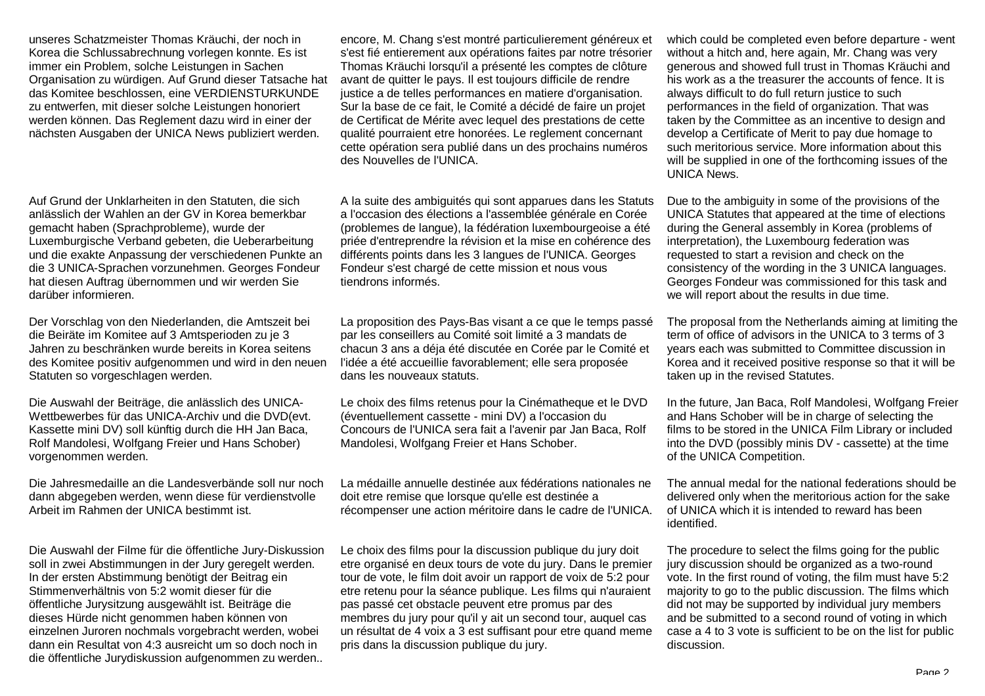unseres Schatzmeister Thomas Kräuchi, der noch in Korea die Schlussabrechnung vorlegen konnte. Es ist immer ein Problem, solche Leistungen in Sachen Organisation zu würdigen. Auf Grund dieser Tatsache hat das Komitee beschlossen, eine VERDIENSTURKUNDE zu entwerfen, mit dieser solche Leistungen honoriert werden können. Das Reglement dazu wird in einer der nächsten Ausgaben der UNICA News publiziert werden.

Auf Grund der Unklarheiten in den Statuten, die sich anlässlich der Wahlen an der GV in Korea bemerkbar gemacht haben (Sprachprobleme), wurde der Luxemburgische Verband gebeten, die Ueberarbeitung und die exakte Anpassung der verschiedenen Punkte an die 3 UNICA-Sprachen vorzunehmen. Georges Fondeur hat diesen Auftrag übernommen und wir werden Sie darüber informieren.

Der Vorschlag von den Niederlanden, die Amtszeit bei die Beiräte im Komitee auf 3 Amtsperioden zu je 3 Jahren zu beschränken wurde bereits in Korea seitens des Komitee positiv aufgenommen und wird in den neuen Statuten so vorgeschlagen werden.

Die Auswahl der Beiträge, die anlässlich des UNICA-Wettbewerbes für das UNICA-Archiv und die DVD(evt. Kassette mini DV) soll künftig durch die HH Jan Baca, Rolf Mandolesi, Wolfgang Freier und Hans Schober) vorgenommen werden.

Die Jahresmedaille an die Landesverbände soll nur noch dann abgegeben werden, wenn diese für verdienstvolle Arbeit im Rahmen der UNICA bestimmt ist.

Die Auswahl der Filme für die öffentliche Jury-Diskussion soll in zwei Abstimmungen in der Jury geregelt werden. In der ersten Abstimmung benötigt der Beitrag ein Stimmenverhältnis von 5:2 womit dieser für die öffentliche Jurysitzung ausgewählt ist. Beiträge die dieses Hürde nicht genommen haben können von einzelnen Juroren nochmals vorgebracht werden, wobei dann ein Resultat von 4:3 ausreicht um so doch noch in die öffentliche Jurydiskussion aufgenommen zu werden..

encore, M. Chang s'est montré particulierement généreux et s'est fié entierement aux opérations faites par notre trésorier Thomas Kräuchi lorsqu'il a présenté les comptes de clôture avant de quitter le pays. Il est toujours difficile de rendre justice a de telles performances en matiere d'organisation. Sur la base de ce fait, le Comité a décidé de faire un projet de Certificat de Mérite avec lequel des prestations de cette qualité pourraient etre honorées. Le reglement concernant cette opération sera publié dans un des prochains numéros des Nouvelles de l'UNICA.

A la suite des ambiguités qui sont apparues dans les Statuts a l'occasion des élections a l'assemblée générale en Corée (problemes de langue), la fédération luxembourgeoise a été priée d'entreprendre la révision et la mise en cohérence des différents points dans les 3 langues de l'UNICA. Georges Fondeur s'est chargé de cette mission et nous vous tiendrons informés.

La proposition des Pays-Bas visant a ce que le temps passé par les conseillers au Comité soit limité a 3 mandats de chacun 3 ans a déja été discutée en Corée par le Comité et l'idée a été accueillie favorablement; elle sera proposée dans les nouveaux statuts.

Le choix des films retenus pour la Cinématheque et le DVD (éventuellement cassette - mini DV) a l'occasion du Concours de l'UNICA sera fait a l'avenir par Jan Baca, Rolf Mandolesi, Wolfgang Freier et Hans Schober.

La médaille annuelle destinée aux fédérations nationales ne doit etre remise que lorsque qu'elle est destinée a récompenser une action méritoire dans le cadre de l'UNICA.

Le choix des films pour la discussion publique du jury doit etre organisé en deux tours de vote du jury. Dans le premier tour de vote, le film doit avoir un rapport de voix de 5:2 pour etre retenu pour la séance publique. Les films qui n'auraient pas passé cet obstacle peuvent etre promus par des membres du jury pour qu'il y ait un second tour, auquel cas un résultat de 4 voix a 3 est suffisant pour etre quand meme pris dans la discussion publique du jury.

which could be completed even before departure - went without a hitch and, here again, Mr. Chang was very generous and showed full trust in Thomas Kräuchi and his work as a the treasurer the accounts of fence. It is always difficult to do full return justice to such performances in the field of organization. That was taken by the Committee as an incentive to design and develop a Certificate of Merit to pay due homage to such meritorious service. More information about this will be supplied in one of the forthcoming issues of the UNICA News.

Due to the ambiguity in some of the provisions of the UNICA Statutes that appeared at the time of elections during the General assembly in Korea (problems of interpretation), the Luxembourg federation was requested to start a revision and check on the consistency of the wording in the 3 UNICA languages. Georges Fondeur was commissioned for this task and we will report about the results in due time.

The proposal from the Netherlands aiming at limiting the term of office of advisors in the UNICA to 3 terms of 3 years each was submitted to Committee discussion in Korea and it received positive response so that it will be taken up in the revised Statutes.

In the future, Jan Baca, Rolf Mandolesi, Wolfgang Freier and Hans Schober will be in charge of selecting the films to be stored in the UNICA Film Library or included into the DVD (possibly minis DV - cassette) at the time of the UNICA Competition.

The annual medal for the national federations should be delivered only when the meritorious action for the sake of UNICA which it is intended to reward has been identified.

The procedure to select the films going for the public jury discussion should be organized as a two-round vote. In the first round of voting, the film must have 5:2 majority to go to the public discussion. The films which did not may be supported by individual jury members and be submitted to a second round of voting in which case a 4 to 3 vote is sufficient to be on the list for public discussion.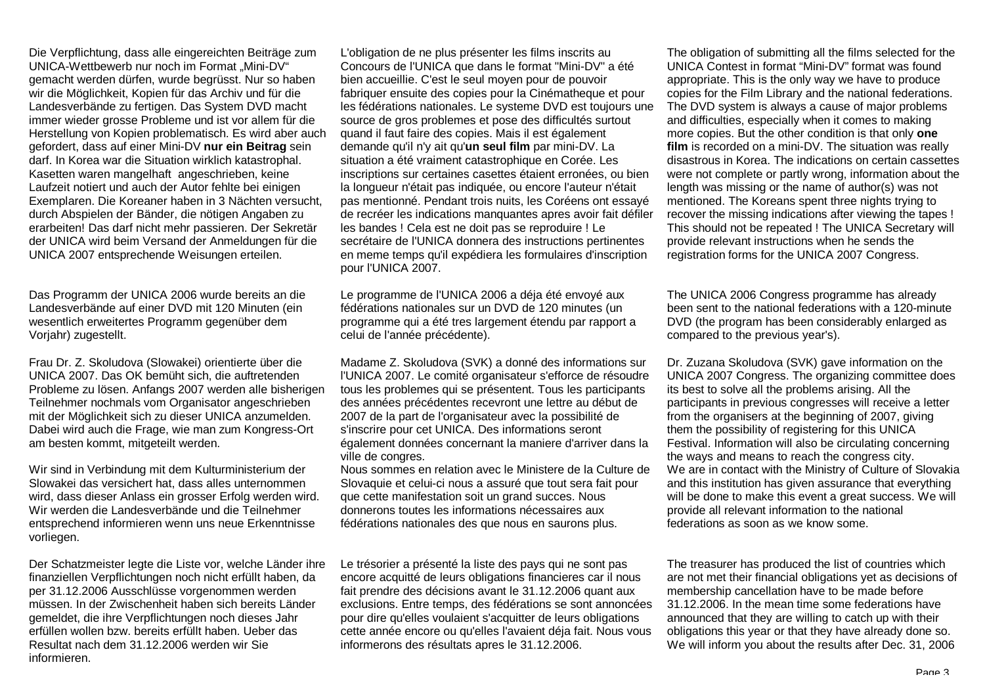Die Verpflichtung, dass alle eingereichten Beiträge zum UNICA-Wettbewerb nur noch im Format "Mini-DV" gemacht werden dürfen, wurde begrüsst. Nur so haben wir die Möglichkeit, Kopien für das Archiv und für die Landesverbände zu fertigen. Das System DVD macht immer wieder grosse Probleme und ist vor allem für die Herstellung von Kopien problematisch. Es wird aber auch gefordert, dass auf einer Mini-DV **nur ein Beitrag** sein darf. In Korea war die Situation wirklich katastrophal. Kasetten waren mangelhaft angeschrieben, keine Laufzeit notiert und auch der Autor fehlte bei einigen Exemplaren. Die Koreaner haben in 3 Nächten versucht, durch Abspielen der Bänder, die nötigen Angaben zu erarbeiten! Das darf nicht mehr passieren. Der Sekretär der UNICA wird beim Versand der Anmeldungen für die UNICA 2007 entsprechende Weisungen erteilen.

Das Programm der UNICA 2006 wurde bereits an die Landesverbände auf einer DVD mit 120 Minuten (ein wesentlich erweitertes Programm gegenüber dem Vorjahr) zugestellt.

Frau Dr. Z. Skoludova (Slowakei) orientierte über die UNICA 2007. Das OK bemüht sich, die auftretenden Probleme zu lösen. Anfangs 2007 werden alle bisherigen Teilnehmer nochmals vom Organisator angeschrieben mit der Möglichkeit sich zu dieser UNICA anzumelden. Dabei wird auch die Frage, wie man zum Kongress-Ort am besten kommt, mitgeteilt werden.

Wir sind in Verbindung mit dem Kulturministerium der Slowakei das versichert hat, dass alles unternommen wird, dass dieser Anlass ein grosser Erfolg werden wird. Wir werden die Landesverbände und die Teilnehmer entsprechend informieren wenn uns neue Erkenntnisse vorliegen.

Der Schatzmeister legte die Liste vor, welche Länder ihre finanziellen Verpflichtungen noch nicht erfüllt haben, da per 31.12.2006 Ausschlüsse vorgenommen werden müssen. In der Zwischenheit haben sich bereits Länder gemeldet, die ihre Verpflichtungen noch dieses Jahr erfüllen wollen bzw. bereits erfüllt haben. Ueber das Resultat nach dem 31.12.2006 werden wir Sie informieren.

L'obligation de ne plus présenter les films inscrits au Concours de l'UNICA que dans le format "Mini-DV" a été bien accueillie. C'est le seul moyen pour de pouvoir fabriquer ensuite des copies pour la Cinématheque et pour les fédérations nationales. Le systeme DVD est toujours une source de gros problemes et pose des difficultés surtout quand il faut faire des copies. Mais il est également demande qu'il n'y ait qu'**un seul film** par mini-DV. La situation a été vraiment catastrophique en Corée. Les inscriptions sur certaines casettes étaient erronées, ou bien la longueur n'était pas indiquée, ou encore l'auteur n'était pas mentionné. Pendant trois nuits, les Coréens ont essayé de recréer les indications manquantes apres avoir fait défiler les bandes ! Cela est ne doit pas se reproduire ! Le secrétaire de l'UNICA donnera des instructions pertinentes en meme temps qu'il expédiera les formulaires d'inscription pour l'UNICA 2007.

Le programme de l'UNICA 2006 a déja été envoyé aux fédérations nationales sur un DVD de 120 minutes (un programme qui a été tres largement étendu par rapport a celui de l'année précédente).

Madame Z. Skoludova (SVK) a donné des informations sur l'UNICA 2007. Le comité organisateur s'efforce de résoudre tous les problemes qui se présentent. Tous les participants des années précédentes recevront une lettre au début de 2007 de la part de l'organisateur avec la possibilité de s'inscrire pour cet UNICA. Des informations seront également données concernant la maniere d'arriver dans la ville de congres.

Nous sommes en relation avec le Ministere de la Culture de Slovaquie et celui-ci nous a assuré que tout sera fait pour que cette manifestation soit un grand succes. Nous donnerons toutes les informations nécessaires aux fédérations nationales des que nous en saurons plus.

Le trésorier a présenté la liste des pays qui ne sont pas encore acquitté de leurs obligations financieres car il nous fait prendre des décisions avant le 31.12.2006 quant aux exclusions. Entre temps, des fédérations se sont annoncées pour dire qu'elles voulaient s'acquitter de leurs obligations cette année encore ou qu'elles l'avaient déja fait. Nous vous informerons des résultats apres le 31.12.2006.

The obligation of submitting all the films selected for the UNICA Contest in format "Mini-DV" format was found appropriate. This is the only way we have to produce copies for the Film Library and the national federations. The DVD system is always a cause of major problems and difficulties, especially when it comes to making more copies. But the other condition is that only **one film** is recorded on a mini-DV. The situation was really disastrous in Korea. The indications on certain cassettes were not complete or partly wrong, information about the length was missing or the name of author(s) was not mentioned. The Koreans spent three nights trying to recover the missing indications after viewing the tapes ! This should not be repeated ! The UNICA Secretary will provide relevant instructions when he sends the registration forms for the UNICA 2007 Congress.

The UNICA 2006 Congress programme has already been sent to the national federations with a 120-minute DVD (the program has been considerably enlarged as compared to the previous year's).

Dr. Zuzana Skoludova (SVK) gave information on the UNICA 2007 Congress. The organizing committee does its best to solve all the problems arising. All the participants in previous congresses will receive a letter from the organisers at the beginning of 2007, giving them the possibility of registering for this UNICA Festival. Information will also be circulating concerning the ways and means to reach the congress city. We are in contact with the Ministry of Culture of Slovakia and this institution has given assurance that everything will be done to make this event a great success. We will provide all relevant information to the national federations as soon as we know some.

The treasurer has produced the list of countries which are not met their financial obligations yet as decisions of membership cancellation have to be made before 31.12.2006. In the mean time some federations have announced that they are willing to catch up with their obligations this year or that they have already done so. We will inform you about the results after Dec. 31, 2006